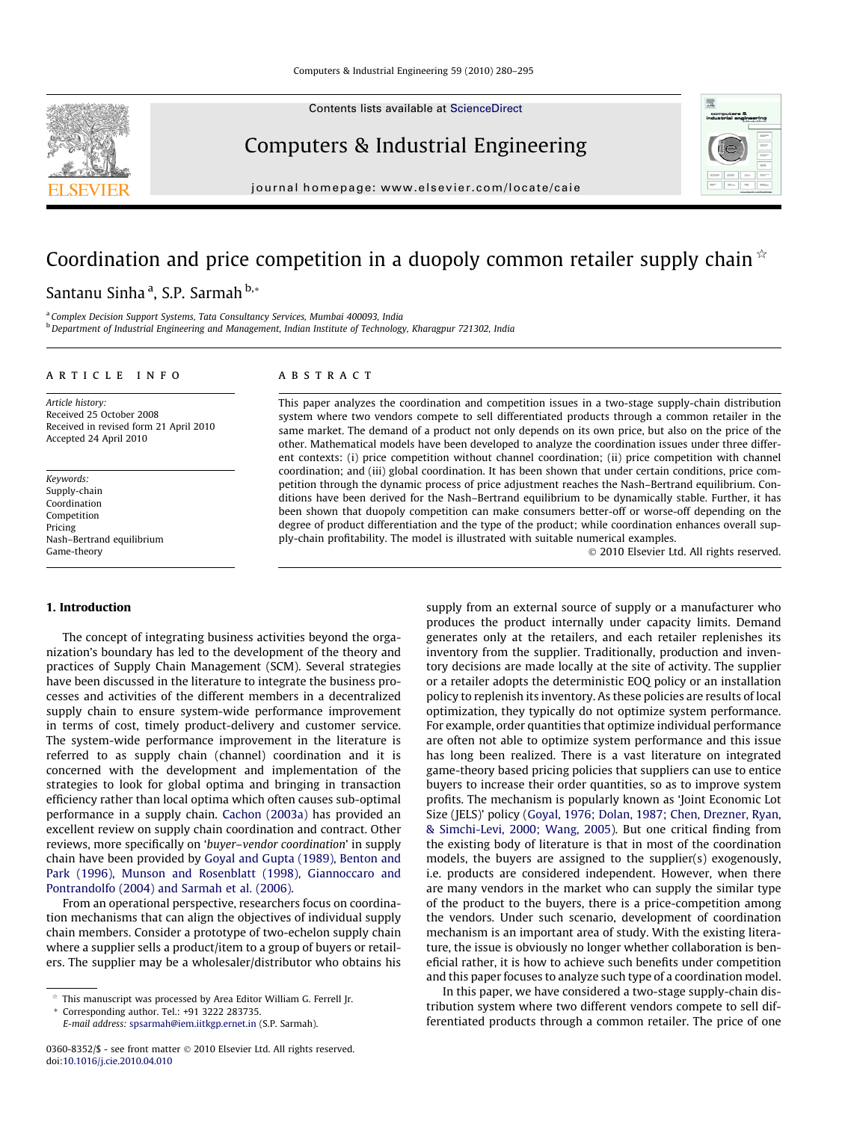Contents lists available at [ScienceDirect](http://www.sciencedirect.com/science/journal/03608352)

### Computers & Industrial Engineering

journal homepage: [www.elsevier.com/locate/caie](http://www.elsevier.com/locate/caie)

## Coordination and price competition in a duopoly common retailer supply chain  $\dot{x}$

Santanu Sinha <sup>a</sup>, S.P. Sarmah <sup>b,</sup>\*

<sup>a</sup> Complex Decision Support Systems, Tata Consultancy Services, Mumbai 400093, India <sup>b</sup> Department of Industrial Engineering and Management, Indian Institute of Technology, Kharagpur 721302, India

#### article info

Article history: Received 25 October 2008 Received in revised form 21 April 2010 Accepted 24 April 2010

Keywords: Supply-chain Coordination Competition Pricing Nash–Bertrand equilibrium Game-theory

#### **ABSTRACT**

This paper analyzes the coordination and competition issues in a two-stage supply-chain distribution system where two vendors compete to sell differentiated products through a common retailer in the same market. The demand of a product not only depends on its own price, but also on the price of the other. Mathematical models have been developed to analyze the coordination issues under three different contexts: (i) price competition without channel coordination; (ii) price competition with channel coordination; and (iii) global coordination. It has been shown that under certain conditions, price competition through the dynamic process of price adjustment reaches the Nash–Bertrand equilibrium. Conditions have been derived for the Nash–Bertrand equilibrium to be dynamically stable. Further, it has been shown that duopoly competition can make consumers better-off or worse-off depending on the degree of product differentiation and the type of the product; while coordination enhances overall supply-chain profitability. The model is illustrated with suitable numerical examples.

- 2010 Elsevier Ltd. All rights reserved.

#### 1. Introduction

The concept of integrating business activities beyond the organization's boundary has led to the development of the theory and practices of Supply Chain Management (SCM). Several strategies have been discussed in the literature to integrate the business processes and activities of the different members in a decentralized supply chain to ensure system-wide performance improvement in terms of cost, timely product-delivery and customer service. The system-wide performance improvement in the literature is referred to as supply chain (channel) coordination and it is concerned with the development and implementation of the strategies to look for global optima and bringing in transaction efficiency rather than local optima which often causes sub-optimal performance in a supply chain. [Cachon \(2003a\)](#page--1-0) has provided an excellent review on supply chain coordination and contract. Other reviews, more specifically on 'buyer–vendor coordination' in supply chain have been provided by [Goyal and Gupta \(1989\), Benton and](#page--1-0) [Park \(1996\), Munson and Rosenblatt \(1998\), Giannoccaro and](#page--1-0) [Pontrandolfo \(2004\) and Sarmah et al. \(2006\)](#page--1-0).

From an operational perspective, researchers focus on coordination mechanisms that can align the objectives of individual supply chain members. Consider a prototype of two-echelon supply chain where a supplier sells a product/item to a group of buyers or retailers. The supplier may be a wholesaler/distributor who obtains his

\* Corresponding author. Tel.: +91 3222 283735.

produces the product internally under capacity limits. Demand generates only at the retailers, and each retailer replenishes its inventory from the supplier. Traditionally, production and inventory decisions are made locally at the site of activity. The supplier or a retailer adopts the deterministic EOQ policy or an installation policy to replenish its inventory. As these policies are results of local optimization, they typically do not optimize system performance. For example, order quantities that optimize individual performance are often not able to optimize system performance and this issue has long been realized. There is a vast literature on integrated game-theory based pricing policies that suppliers can use to entice buyers to increase their order quantities, so as to improve system profits. The mechanism is popularly known as 'Joint Economic Lot Size (JELS)' policy [\(Goyal, 1976; Dolan, 1987; Chen, Drezner, Ryan,](#page--1-0) [& Simchi-Levi, 2000; Wang, 2005](#page--1-0)). But one critical finding from the existing body of literature is that in most of the coordination models, the buyers are assigned to the supplier(s) exogenously, i.e. products are considered independent. However, when there are many vendors in the market who can supply the similar type of the product to the buyers, there is a price-competition among the vendors. Under such scenario, development of coordination mechanism is an important area of study. With the existing literature, the issue is obviously no longer whether collaboration is beneficial rather, it is how to achieve such benefits under competition and this paper focuses to analyze such type of a coordination model.

supply from an external source of supply or a manufacturer who

In this paper, we have considered a two-stage supply-chain distribution system where two different vendors compete to sell differentiated products through a common retailer. The price of one





 $\star$  This manuscript was processed by Area Editor William G. Ferrell Jr.

E-mail address: [spsarmah@iem.iitkgp.ernet.in](mailto:spsarmah@iem.iitkgp.ernet.in) (S.P. Sarmah).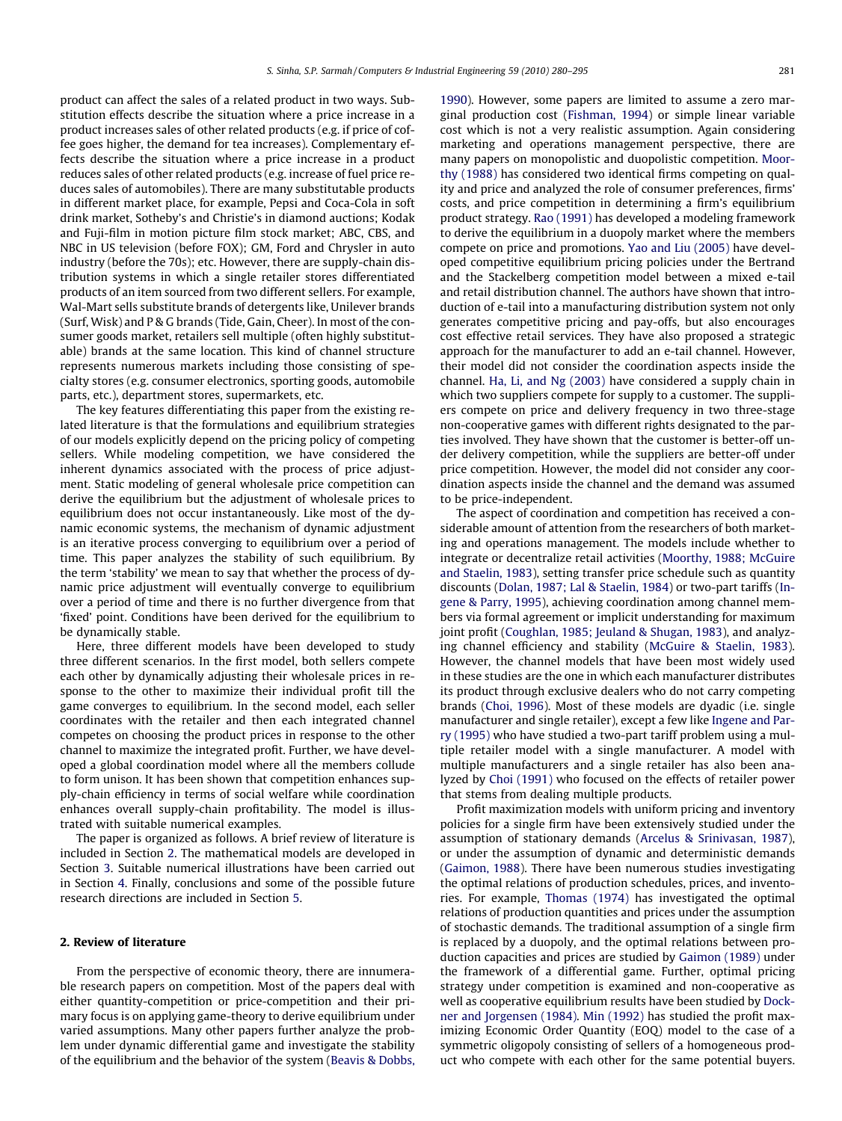product can affect the sales of a related product in two ways. Substitution effects describe the situation where a price increase in a product increases sales of other related products (e.g. if price of coffee goes higher, the demand for tea increases). Complementary effects describe the situation where a price increase in a product reduces sales of other related products (e.g. increase of fuel price reduces sales of automobiles). There are many substitutable products in different market place, for example, Pepsi and Coca-Cola in soft drink market, Sotheby's and Christie's in diamond auctions; Kodak and Fuji-film in motion picture film stock market; ABC, CBS, and NBC in US television (before FOX); GM, Ford and Chrysler in auto industry (before the 70s); etc. However, there are supply-chain distribution systems in which a single retailer stores differentiated products of an item sourced from two different sellers. For example, Wal-Mart sells substitute brands of detergents like, Unilever brands (Surf, Wisk) and P & G brands (Tide, Gain, Cheer). In most of the consumer goods market, retailers sell multiple (often highly substitutable) brands at the same location. This kind of channel structure represents numerous markets including those consisting of specialty stores (e.g. consumer electronics, sporting goods, automobile parts, etc.), department stores, supermarkets, etc.

The key features differentiating this paper from the existing related literature is that the formulations and equilibrium strategies of our models explicitly depend on the pricing policy of competing sellers. While modeling competition, we have considered the inherent dynamics associated with the process of price adjustment. Static modeling of general wholesale price competition can derive the equilibrium but the adjustment of wholesale prices to equilibrium does not occur instantaneously. Like most of the dynamic economic systems, the mechanism of dynamic adjustment is an iterative process converging to equilibrium over a period of time. This paper analyzes the stability of such equilibrium. By the term 'stability' we mean to say that whether the process of dynamic price adjustment will eventually converge to equilibrium over a period of time and there is no further divergence from that 'fixed' point. Conditions have been derived for the equilibrium to be dynamically stable.

Here, three different models have been developed to study three different scenarios. In the first model, both sellers compete each other by dynamically adjusting their wholesale prices in response to the other to maximize their individual profit till the game converges to equilibrium. In the second model, each seller coordinates with the retailer and then each integrated channel competes on choosing the product prices in response to the other channel to maximize the integrated profit. Further, we have developed a global coordination model where all the members collude to form unison. It has been shown that competition enhances supply-chain efficiency in terms of social welfare while coordination enhances overall supply-chain profitability. The model is illustrated with suitable numerical examples.

The paper is organized as follows. A brief review of literature is included in Section 2. The mathematical models are developed in Section [3](#page--1-0). Suitable numerical illustrations have been carried out in Section [4](#page--1-0). Finally, conclusions and some of the possible future research directions are included in Section [5](#page--1-0).

#### 2. Review of literature

From the perspective of economic theory, there are innumerable research papers on competition. Most of the papers deal with either quantity-competition or price-competition and their primary focus is on applying game-theory to derive equilibrium under varied assumptions. Many other papers further analyze the problem under dynamic differential game and investigate the stability of the equilibrium and the behavior of the system [\(Beavis & Dobbs,](#page--1-0) [1990](#page--1-0)). However, some papers are limited to assume a zero marginal production cost ([Fishman, 1994\)](#page--1-0) or simple linear variable cost which is not a very realistic assumption. Again considering marketing and operations management perspective, there are many papers on monopolistic and duopolistic competition. [Moor](#page--1-0)[thy \(1988\)](#page--1-0) has considered two identical firms competing on quality and price and analyzed the role of consumer preferences, firms' costs, and price competition in determining a firm's equilibrium product strategy. [Rao \(1991\)](#page--1-0) has developed a modeling framework to derive the equilibrium in a duopoly market where the members compete on price and promotions. [Yao and Liu \(2005\)](#page--1-0) have developed competitive equilibrium pricing policies under the Bertrand and the Stackelberg competition model between a mixed e-tail and retail distribution channel. The authors have shown that introduction of e-tail into a manufacturing distribution system not only generates competitive pricing and pay-offs, but also encourages cost effective retail services. They have also proposed a strategic approach for the manufacturer to add an e-tail channel. However, their model did not consider the coordination aspects inside the channel. [Ha, Li, and Ng \(2003\)](#page--1-0) have considered a supply chain in which two suppliers compete for supply to a customer. The suppliers compete on price and delivery frequency in two three-stage non-cooperative games with different rights designated to the parties involved. They have shown that the customer is better-off under delivery competition, while the suppliers are better-off under price competition. However, the model did not consider any coordination aspects inside the channel and the demand was assumed to be price-independent.

The aspect of coordination and competition has received a considerable amount of attention from the researchers of both marketing and operations management. The models include whether to integrate or decentralize retail activities ([Moorthy, 1988; McGuire](#page--1-0) [and Staelin, 1983\)](#page--1-0), setting transfer price schedule such as quantity discounts ([Dolan, 1987; Lal & Staelin, 1984](#page--1-0)) or two-part tariffs ([In](#page--1-0)[gene & Parry, 1995](#page--1-0)), achieving coordination among channel members via formal agreement or implicit understanding for maximum joint profit ([Coughlan, 1985; Jeuland & Shugan, 1983](#page--1-0)), and analyzing channel efficiency and stability [\(McGuire & Staelin, 1983\)](#page--1-0). However, the channel models that have been most widely used in these studies are the one in which each manufacturer distributes its product through exclusive dealers who do not carry competing brands ([Choi, 1996\)](#page--1-0). Most of these models are dyadic (i.e. single manufacturer and single retailer), except a few like [Ingene and Par](#page--1-0)[ry \(1995\)](#page--1-0) who have studied a two-part tariff problem using a multiple retailer model with a single manufacturer. A model with multiple manufacturers and a single retailer has also been analyzed by [Choi \(1991\)](#page--1-0) who focused on the effects of retailer power that stems from dealing multiple products.

Profit maximization models with uniform pricing and inventory policies for a single firm have been extensively studied under the assumption of stationary demands [\(Arcelus & Srinivasan, 1987\)](#page--1-0), or under the assumption of dynamic and deterministic demands ([Gaimon, 1988](#page--1-0)). There have been numerous studies investigating the optimal relations of production schedules, prices, and inventories. For example, [Thomas \(1974\)](#page--1-0) has investigated the optimal relations of production quantities and prices under the assumption of stochastic demands. The traditional assumption of a single firm is replaced by a duopoly, and the optimal relations between production capacities and prices are studied by [Gaimon \(1989\)](#page--1-0) under the framework of a differential game. Further, optimal pricing strategy under competition is examined and non-cooperative as well as cooperative equilibrium results have been studied by [Dock](#page--1-0)[ner and Jorgensen \(1984\)](#page--1-0). [Min \(1992\)](#page--1-0) has studied the profit maximizing Economic Order Quantity (EOQ) model to the case of a symmetric oligopoly consisting of sellers of a homogeneous product who compete with each other for the same potential buyers.